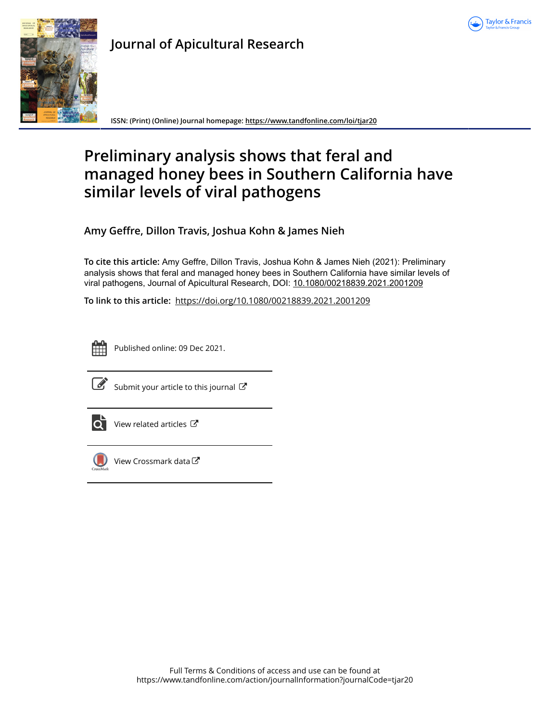



**Journal of Apicultural Research**

**ISSN: (Print) (Online) Journal homepage:<https://www.tandfonline.com/loi/tjar20>**

# **Preliminary analysis shows that feral and managed honey bees in Southern California have similar levels of viral pathogens**

**Amy Geffre, Dillon Travis, Joshua Kohn & James Nieh**

**To cite this article:** Amy Geffre, Dillon Travis, Joshua Kohn & James Nieh (2021): Preliminary analysis shows that feral and managed honey bees in Southern California have similar levels of viral pathogens, Journal of Apicultural Research, DOI: [10.1080/00218839.2021.2001209](https://www.tandfonline.com/action/showCitFormats?doi=10.1080/00218839.2021.2001209)

**To link to this article:** <https://doi.org/10.1080/00218839.2021.2001209>



Published online: 09 Dec 2021.



 $\overrightarrow{S}$  [Submit your article to this journal](https://www.tandfonline.com/action/authorSubmission?journalCode=tjar20&show=instructions)  $\overrightarrow{S}$ 



 $\overrightarrow{O}$  [View related articles](https://www.tandfonline.com/doi/mlt/10.1080/00218839.2021.2001209)  $\overrightarrow{C}$ 



 $\bigcirc$  [View Crossmark data](http://crossmark.crossref.org/dialog/?doi=10.1080/00218839.2021.2001209&domain=pdf&date_stamp=2021-12-09) $\mathbb{Z}$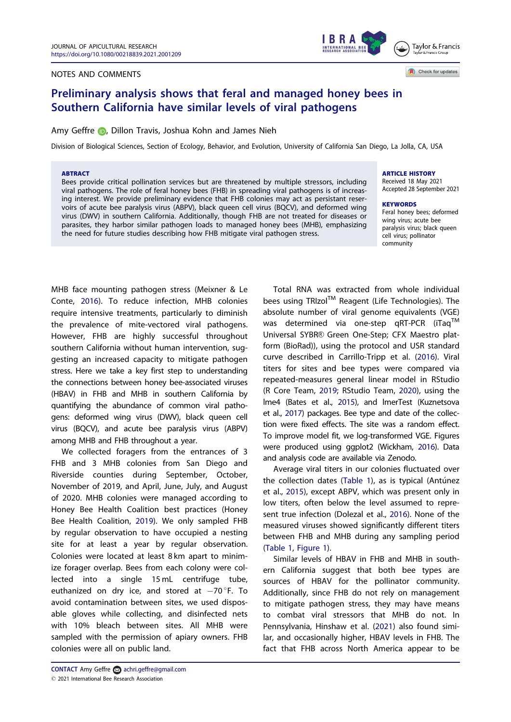## <span id="page-1-0"></span>NOTES AND COMMENTS



Check for updates

## Preliminary analysis shows that feral and managed honey bees in Southern California have similar levels of viral pathogens

## Amy Geffre **D**[,](http://orcid.org/0000-0001-8734-8058) Dillon Travis, Joshua Kohn and James Nieh

Division of Biological Sciences, Section of Ecology, Behavior, and Evolution, University of California San Diego, La Jolla, CA, USA

#### ABTRACT

Bees provide critical pollination services but are threatened by multiple stressors, including viral pathogens. The role of feral honey bees (FHB) in spreading viral pathogens is of increasing interest. We provide preliminary evidence that FHB colonies may act as persistant reservoirs of acute bee paralysis virus (ABPV), black queen cell virus (BQCV), and deformed wing virus (DWV) in southern California. Additionally, though FHB are not treated for diseases or parasites, they harbor similar pathogen loads to managed honey bees (MHB), emphasizing the need for future studies describing how FHB mitigate viral pathogen stress.

## ARTICLE HISTORY

Received 18 May 2021 Accepted 28 September 2021

#### **KEYWORDS** Feral honey bees; deformed

wing virus; acute bee paralysis virus; black queen cell virus; pollinator community

MHB face mounting pathogen stress (Meixner & Le Conte, [2016\)](#page-3-0). To reduce infection, MHB colonies require intensive treatments, particularly to diminish the prevalence of mite-vectored viral pathogens. However, FHB are highly successful throughout southern California without human intervention, suggesting an increased capacity to mitigate pathogen stress. Here we take a key first step to understanding the connections between honey bee-associated viruses (HBAV) in FHB and MHB in southern California by quantifying the abundance of common viral pathogens: deformed wing virus (DWV), black queen cell virus (BQCV), and acute bee paralysis virus (ABPV) among MHB and FHB throughout a year.

We collected foragers from the entrances of 3 FHB and 3 MHB colonies from San Diego and Riverside counties during September, October, November of 2019, and April, June, July, and August of 2020. MHB colonies were managed according to Honey Bee Health Coalition best practices (Honey Bee Health Coalition, [2019\)](#page-3-0). We only sampled FHB by regular observation to have occupied a nesting site for at least a year by regular observation. Colonies were located at least 8 km apart to minimize forager overlap. Bees from each colony were collected into a single 15 mL centrifuge tube, euthanized on dry ice, and stored at  $-70$  F. To avoid contamination between sites, we used disposable gloves while collecting, and disinfected nets with 10% bleach between sites. All MHB were sampled with the permission of apiary owners. FHB colonies were all on public land.

Total RNA was extracted from whole individual bees using TRIzol™ Reagent (Life Technologies). The absolute number of viral genome equivalents (VGE) was determined via one-step qRT-PCR (iTaq™ Universal SYBR® Green One-Step; CFX Maestro platform (BioRad)), using the protocol and USR standard curve described in Carrillo-Tripp et al. [\(2016\)](#page-3-0). Viral titers for sites and bee types were compared via repeated-measures general linear model in RStudio (R Core Team, [2019;](#page-3-0) RStudio Team, [2020](#page-3-0)), using the lme4 (Bates et al., [2015\)](#page-3-0), and lmerTest (Kuznetsova et al., [2017\)](#page-3-0) packages. Bee type and date of the collection were fixed effects. The site was a random effect. To improve model fit, we log-transformed VGE. Figures were produced using ggplot2 (Wickham, [2016\)](#page-3-0). Data and analysis code are available via Zenodo.

Average viral titers in our colonies fluctuated over the collection dates ([Table 1](#page-2-0)), as is typical (Antúnez et al., [2015\)](#page-3-0), except ABPV, which was present only in low titers, often below the level assumed to represent true infection (Dolezal et al., [2016\)](#page-3-0). None of the measured viruses showed significantly different titers between FHB and MHB during any sampling period [\(Table 1,](#page-2-0) [Figure 1](#page-2-0)).

Similar levels of HBAV in FHB and MHB in southern California suggest that both bee types are sources of HBAV for the pollinator community. Additionally, since FHB do not rely on management to mitigate pathogen stress, they may have means to combat viral stressors that MHB do not. In Pennsylvania, Hinshaw et al. [\(2021\)](#page-3-0) also found similar, and occasionally higher, HBAV levels in FHB. The fact that FHB across North America appear to be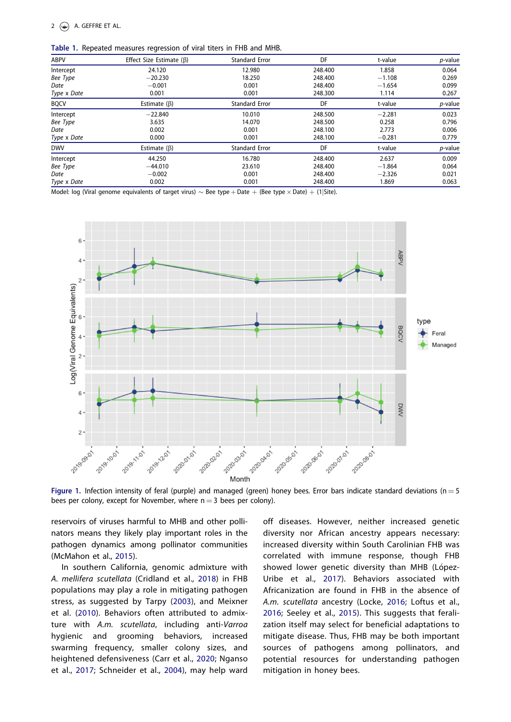<span id="page-2-0"></span>Table 1. Repeated measures regression of viral titers in FHB and MHB.

| <b>ABPV</b> | Effect Size Estimate $(\beta)$ | <b>Standard Error</b> | DF      | t-value  | p-value    |
|-------------|--------------------------------|-----------------------|---------|----------|------------|
| Intercept   | 24.120                         | 12.980                | 248,400 | 1.858    | 0.064      |
| Bee Type    | $-20.230$                      | 18.250                | 248,400 | $-1.108$ | 0.269      |
| Date        | $-0.001$                       | 0.001                 | 248,400 | $-1.654$ | 0.099      |
| Type x Date | 0.001                          | 0.001                 | 248.300 | 1.114    | 0.267      |
| <b>BQCV</b> | Estimate $(\beta)$             | <b>Standard Error</b> | DF      | t-value  | p-value    |
| Intercept   | $-22.840$                      | 10.010                | 248.500 | $-2.281$ | 0.023      |
| Bee Type    | 3.635                          | 14.070                | 248.500 | 0.258    | 0.796      |
| Date        | 0.002                          | 0.001                 | 248.100 | 2.773    | 0.006      |
| Type x Date | 0.000                          | 0.001                 | 248.100 | $-0.281$ | 0.779      |
| <b>DWV</b>  | Estimate $(\beta)$             | <b>Standard Error</b> | DF      | t-value  | $p$ -value |
| Intercept   | 44.250                         | 16.780                | 248,400 | 2.637    | 0.009      |
| Bee Type    | $-44.010$                      | 23.610                | 248,400 | $-1.864$ | 0.064      |
| Date        | $-0.002$                       | 0.001                 | 248,400 | $-2.326$ | 0.021      |
| Type x Date | 0.002                          | 0.001                 | 248.400 | 1.869    | 0.063      |

Model: log (Viral genome equivalents of target virus)  $\sim$  Bee type + Date + (Bee type  $\times$  Date) + (1|Site).



Figure 1. Infection intensity of feral (purple) and managed (green) honey bees. Error bars indicate standard deviations (n = 5 bees per colony, except for November, where  $n = 3$  bees per colony).

reservoirs of viruses harmful to MHB and other pollinators means they likely play important roles in the pathogen dynamics among pollinator communities (McMahon et al., [2015\)](#page-3-0).

In southern California, genomic admixture with A. mellifera scutellata (Cridland et al., [2018\)](#page-3-0) in FHB populations may play a role in mitigating pathogen stress, as suggested by Tarpy ([2003\)](#page-3-0), and Meixner et al. ([2010\)](#page-3-0). Behaviors often attributed to admixture with A.m. scutellata, including anti-Varroa hygienic and grooming behaviors, increased swarming frequency, smaller colony sizes, and heightened defensiveness (Carr et al., [2020](#page-3-0); Nganso et al., [2017](#page-3-0); Schneider et al., [2004](#page-3-0)), may help ward

off diseases. However, neither increased genetic diversity nor African ancestry appears necessary: increased diversity within South Carolinian FHB was correlated with immune response, though FHB showed lower genetic diversity than MHB (López-Uribe et al., [2017\)](#page-3-0). Behaviors associated with Africanization are found in FHB in the absence of A.m. scutellata ancestry (Locke, [2016](#page-3-0); Loftus et al., [2016;](#page-3-0) Seeley et al., [2015](#page-3-0)). This suggests that feralization itself may select for beneficial adaptations to mitigate disease. Thus, FHB may be both important sources of pathogens among pollinators, and potential resources for understanding pathogen mitigation in honey bees.